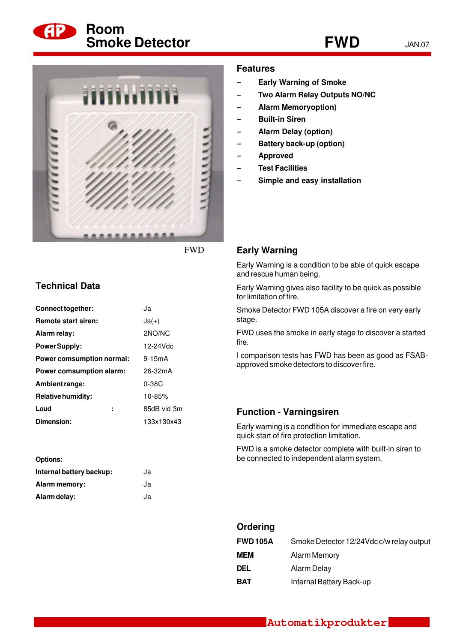



FWD

## **Technical Data**

| Connect together:               | Ja          |
|---------------------------------|-------------|
| <b>Remote start siren:</b>      | $Ja(+)$     |
| Alarm relay:                    | 2NO/NC      |
| <b>Power Supply:</b>            | 12-24 Vdc   |
| Power comsumption normal:       | 9-15mA      |
| <b>Power comsumption alarm:</b> | 26-32mA     |
| Ambient range:                  | $0-38C$     |
| <b>Relative humidity:</b>       | 10-85%      |
| Loud<br>t                       | 85dB vid 3m |
| Dimension:                      | 133x130x43  |

| <b>Options:</b>          |    |
|--------------------------|----|
| Internal battery backup: | Ja |
| Alarm memory:            | Ja |
| Alarm delay:             | Ja |

### **Features**

- **- Early Warning of Smoke**
- **- Two Alarm Relay Outputs NO/NC**
- **- Alarm Memoryoption)**
- **- Built-in Siren**
- **- Alarm Delay (option)**
- **- Battery back-up (option)**
- **- Approved**
- **- Test Facilities**
- **- Simple and easy installation**

#### **Early Warning**

Early Warning is a condition to be able of quick escape and rescue human being.

Early Warning gives also facility to be quick as possible for limitation of fire.

Smoke Detector FWD 105A discover a fire on very early stage.

FWD uses the smoke in early stage to discover a started fire.

I comparison tests has FWD has been as good as FSABapproved smoke detectors to discover fire.

#### **Function - Varningsiren**

**Ordering**

Early warning is a condfition for immediate escape and quick start of fire protection limitation.

FWD is a smoke detector complete with built-in siren to be connected to independent alarm system.

| Urdering        |                                          |
|-----------------|------------------------------------------|
| <b>FWD 105A</b> | Smoke Detector 12/24Vdc c/w relay output |
| <b>MEM</b>      | <b>Alarm Memory</b>                      |
| DEL             | Alarm Delay                              |
| <b>BAT</b>      | Internal Battery Back-up                 |